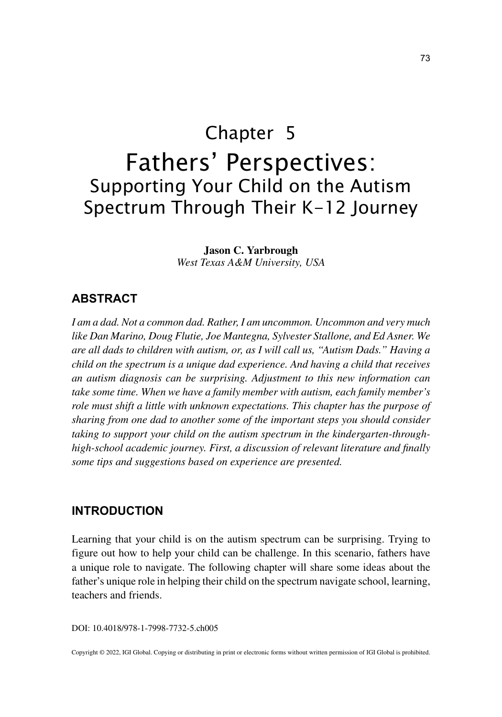# Chapter 5 Fathers' Perspectives: Supporting Your Child on the Autism Spectrum Through Their K-12 Journey

**Jason C. Yarbrough** *West Texas A&M University, USA*

## **ABSTRACT**

*I am a dad. Not a common dad. Rather, I am uncommon. Uncommon and very much like Dan Marino, Doug Flutie, Joe Mantegna, Sylvester Stallone, and Ed Asner. We are all dads to children with autism, or, as I will call us, "Autism Dads." Having a child on the spectrum is a unique dad experience. And having a child that receives an autism diagnosis can be surprising. Adjustment to this new information can take some time. When we have a family member with autism, each family member's role must shift a little with unknown expectations. This chapter has the purpose of sharing from one dad to another some of the important steps you should consider taking to support your child on the autism spectrum in the kindergarten-throughhigh-school academic journey. First, a discussion of relevant literature and finally some tips and suggestions based on experience are presented.*

## **INTRODUCTION**

Learning that your child is on the autism spectrum can be surprising. Trying to figure out how to help your child can be challenge. In this scenario, fathers have a unique role to navigate. The following chapter will share some ideas about the father's unique role in helping their child on the spectrum navigate school, learning, teachers and friends.

DOI: 10.4018/978-1-7998-7732-5.ch005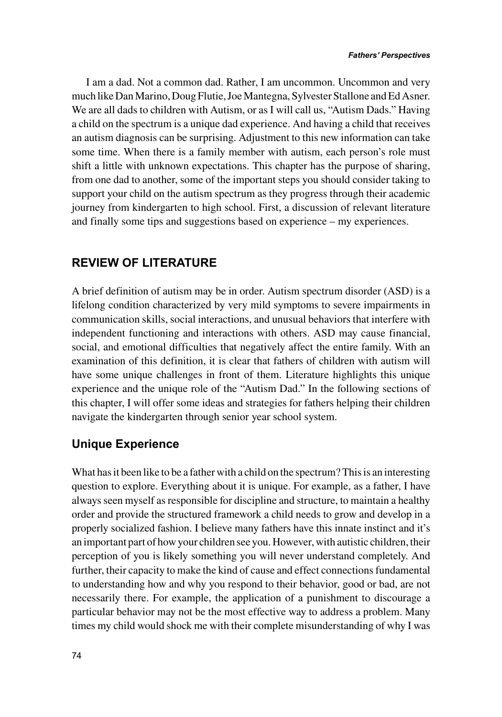I am a dad. Not a common dad. Rather, I am uncommon. Uncommon and very much like Dan Marino, Doug Flutie, Joe Mantegna, Sylvester Stallone and Ed Asner. We are all dads to children with Autism, or as I will call us, "Autism Dads." Having a child on the spectrum is a unique dad experience. And having a child that receives an autism diagnosis can be surprising. Adjustment to this new information can take some time. When there is a family member with autism, each person's role must shift a little with unknown expectations. This chapter has the purpose of sharing, from one dad to another, some of the important steps you should consider taking to support your child on the autism spectrum as they progress through their academic journey from kindergarten to high school. First, a discussion of relevant literature and finally some tips and suggestions based on experience – my experiences.

## **REVIEW OF LITERATURE**

A brief definition of autism may be in order. Autism spectrum disorder (ASD) is a lifelong condition characterized by very mild symptoms to severe impairments in communication skills, social interactions, and unusual behaviors that interfere with independent functioning and interactions with others. ASD may cause financial, social, and emotional difficulties that negatively affect the entire family. With an examination of this definition, it is clear that fathers of children with autism will have some unique challenges in front of them. Literature highlights this unique experience and the unique role of the "Autism Dad." In the following sections of this chapter, I will offer some ideas and strategies for fathers helping their children navigate the kindergarten through senior year school system.

# **Unique Experience**

What has it been like to be a father with a child on the spectrum? This is an interesting question to explore. Everything about it is unique. For example, as a father, I have always seen myself as responsible for discipline and structure, to maintain a healthy order and provide the structured framework a child needs to grow and develop in a properly socialized fashion. I believe many fathers have this innate instinct and it's an important part of how your children see you. However, with autistic children, their perception of you is likely something you will never understand completely. And further, their capacity to make the kind of cause and effect connections fundamental to understanding how and why you respond to their behavior, good or bad, are not necessarily there. For example, the application of a punishment to discourage a particular behavior may not be the most effective way to address a problem. Many times my child would shock me with their complete misunderstanding of why I was